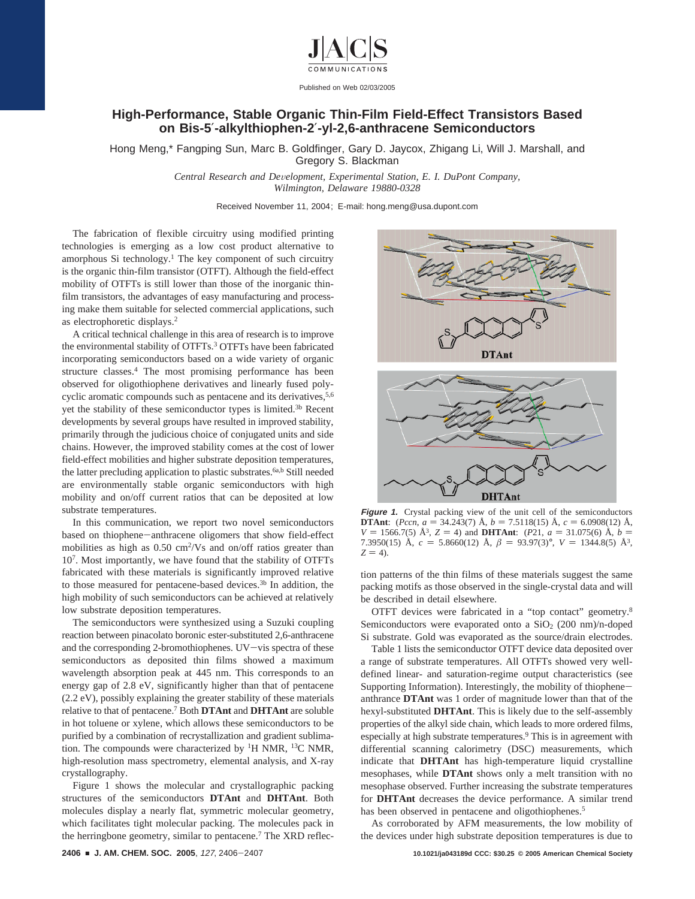

Published on Web 02/03/2005

## **High-Performance, Stable Organic Thin-Film Field-Effect Transistors Based on Bis-5**′**-alkylthiophen-2**′**-yl-2,6-anthracene Semiconductors**

Hong Meng,\* Fangping Sun, Marc B. Goldfinger, Gary D. Jaycox, Zhigang Li, Will J. Marshall, and Gregory S. Blackman

> *Central Research and De*V*elopment, Experimental Station, E. I. DuPont Company, Wilmington, Delaware 19880-0328*

> > Received November 11, 2004; E-mail: hong.meng@usa.dupont.com

The fabrication of flexible circuitry using modified printing technologies is emerging as a low cost product alternative to amorphous Si technology.<sup>1</sup> The key component of such circuitry is the organic thin-film transistor (OTFT). Although the field-effect mobility of OTFTs is still lower than those of the inorganic thinfilm transistors, the advantages of easy manufacturing and processing make them suitable for selected commercial applications, such as electrophoretic displays.2

A critical technical challenge in this area of research is to improve the environmental stability of OTFTs.3 OTFTs have been fabricated incorporating semiconductors based on a wide variety of organic structure classes.4 The most promising performance has been observed for oligothiophene derivatives and linearly fused polycyclic aromatic compounds such as pentacene and its derivatives,<sup>5,6</sup> yet the stability of these semiconductor types is limited.3b Recent developments by several groups have resulted in improved stability, primarily through the judicious choice of conjugated units and side chains. However, the improved stability comes at the cost of lower field-effect mobilities and higher substrate deposition temperatures, the latter precluding application to plastic substrates.<sup>6a,b</sup> Still needed are environmentally stable organic semiconductors with high mobility and on/off current ratios that can be deposited at low substrate temperatures.

In this communication, we report two novel semiconductors based on thiophene-anthracene oligomers that show field-effect mobilities as high as 0.50 cm<sup>2</sup>/Vs and on/off ratios greater than 107. Most importantly, we have found that the stability of OTFTs fabricated with these materials is significantly improved relative to those measured for pentacene-based devices.3b In addition, the high mobility of such semiconductors can be achieved at relatively low substrate deposition temperatures.

The semiconductors were synthesized using a Suzuki coupling reaction between pinacolato boronic ester-substituted 2,6-anthracene and the corresponding 2-bromothiophenes. UV-vis spectra of these semiconductors as deposited thin films showed a maximum wavelength absorption peak at 445 nm. This corresponds to an energy gap of 2.8 eV, significantly higher than that of pentacene (2.2 eV), possibly explaining the greater stability of these materials relative to that of pentacene.7 Both **DTAnt** and **DHTAnt** are soluble in hot toluene or xylene, which allows these semiconductors to be purified by a combination of recrystallization and gradient sublimation. The compounds were characterized by <sup>1</sup>H NMR, <sup>13</sup>C NMR, high-resolution mass spectrometry, elemental analysis, and X-ray crystallography.

Figure 1 shows the molecular and crystallographic packing structures of the semiconductors **DTAnt** and **DHTAnt**. Both molecules display a nearly flat, symmetric molecular geometry, which facilitates tight molecular packing. The molecules pack in the herringbone geometry, similar to pentacene.<sup>7</sup> The XRD reflec-



**Figure 1.** Crystal packing view of the unit cell of the semiconductors **DTAnt**: (*Pccn*,  $a = 34.243(7)$  Å,  $b = 7.5118(15)$  Å,  $c = 6.0908(12)$  Å, **DTAnt**: (*Pccn*, *a* = 34.243(7) Å, *b* = 7.5118(15) Å, *c* = 6.0908(12) Å,  $V = 1566.7(5)$  Å<sup>3</sup>  $Z = 4$ ) and **DHTAnt**: (*P2*1  $a = 31.075(6)$  Å  $b =$ *V* = 1566.7(5) Å<sup>3</sup>, *Z* = 4) and **DHTAnt**: (*P*21, *a* = 31.075(6) Å, *b* = 7.3950(15) Å  $c = 5.8660(12)$  Å  $\beta = 93.97(3)^{\circ}$  *V* = 1344.8(5) Å<sup>3</sup> 7.3950(15) Å,  $c = 5.8660(12)$  Å,  $\beta = 93.97(3)$ °,  $V = 1344.8(5)$  Å<sup>3</sup>,  $Z = 4$ .

**DHTAnt** 

tion patterns of the thin films of these materials suggest the same packing motifs as those observed in the single-crystal data and will be described in detail elsewhere.

OTFT devices were fabricated in a "top contact" geometry.8 Semiconductors were evaporated onto a  $SiO<sub>2</sub>$  (200 nm)/n-doped Si substrate. Gold was evaporated as the source/drain electrodes.

Table 1 lists the semiconductor OTFT device data deposited over a range of substrate temperatures. All OTFTs showed very welldefined linear- and saturation-regime output characteristics (see Supporting Information). Interestingly, the mobility of thiopheneanthrance **DTAnt** was 1 order of magnitude lower than that of the hexyl-substituted **DHTAnt**. This is likely due to the self-assembly properties of the alkyl side chain, which leads to more ordered films, especially at high substrate temperatures.<sup>9</sup> This is in agreement with differential scanning calorimetry (DSC) measurements, which indicate that **DHTAnt** has high-temperature liquid crystalline mesophases, while **DTAnt** shows only a melt transition with no mesophase observed. Further increasing the substrate temperatures for **DHTAnt** decreases the device performance. A similar trend has been observed in pentacene and oligothiophenes.<sup>5</sup>

As corroborated by AFM measurements, the low mobility of the devices under high substrate deposition temperatures is due to